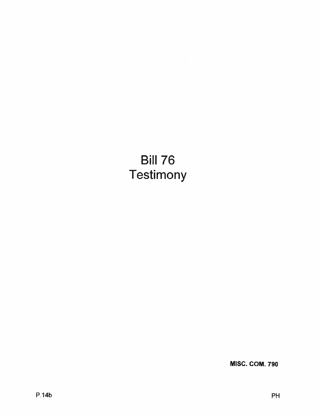Bill 76 **Testimony** 

MISC. COM. 790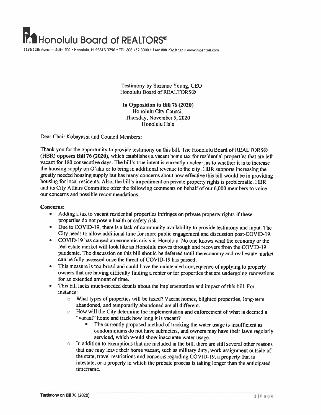## Honolulu Board of REALTORS<sup>®</sup>

1136 llthAvenue, Suite 20D • Hono!ulu, HI 96816-3796 • TEL: 808.732.3000 • FAX. 808732.8732. www.hicentraI.com

Testimony by Suzanne Young, CEO Honolulu Board of REALTORS®

In Opposition to Bill 76 (2020) Honolulu City Council Thursday, November 5, 2020 Honolulu Hale

Dear Chair Kobayashi and Council Members:

Thank you for the opportunity to provide testimony on this bill. The Honolulu Board of REALTORS® (HBR) opposes Bill <sup>76</sup> (2020), which establishes <sup>a</sup> vacant home tax for residential properties that are left vacant for 180 consecutive days. The bill's true intent is currently unclear, as to whether it is to increase the housing supply on O'ahu or to bring in additional revenue to the city. HBR supports increasing the greatly needed housing supply but has many concerns about how effective this bill would be in providing housing for local residents. Also, the bill's impediment on private property rights is problematic. HBR and its City Affairs Committee offer the following comments on behalf of our 6,000 members to voice our concerns and possible recommendations.

## Concerns:

- • Adding <sup>a</sup> tax to vacant residential properties infringes on private property rights if these properties do not pose <sup>a</sup> health or safety risk.
- Due to COVID-19, there is a lack of community availability to provide testimony and input. The City needs to allow additional time for more public engagemen<sup>t</sup> and discussion post-CO VID-J9.
- • COVID-19 has caused an economic crisis in Honolulu. No one knows what the economy or the real estate market will look like as Honolulu moves through and recovers from the COVID-19 pandemic. The discussion on this bill should be deferred until the economy and real estate market can be fully assessed once the threat of COVID-19 has passed.
- • This measure is too broad and could have the unintended consequence of applying to property owners that are having difficulty finding <sup>a</sup> renter or for properties that are undergoing renovations for an extended amount of time.
- • This bill lacks much-needed details about the implementation and impact of this bill. For instance:
	- <sup>o</sup> What types of properties will be taxed? Vacant homes, blighted properties, long-term abandoned, and temporarily abandoned are all different.
	- <sup>o</sup> How will the City determine the implementation and enforcement of what is deemed <sup>a</sup> "vacant" home and track how long it is vacant?
		- The currently propose<sup>d</sup> method of tracking the water usage is insufficient as condominiums do not have submeters, and owners may have their lawn regularly serviced, which would show inaccurate water usage.
	- <sup>o</sup> In addition to exemptions that are included in the bill, there are still several other reasons that one may leave their home vacant, such as military duty, work assignment outside of the state, travel restrictions and concerns regarding COVID-19, <sup>a</sup> property that is intestate, or <sup>a</sup> property in which the probate process is taking longer than the anticipated timeframe.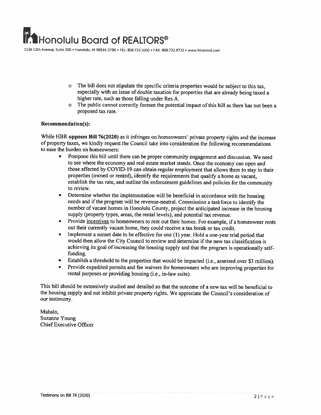1136 12th Avenue. Suite 200 • Honolulu, HI 96816-3796 • TEL: 808.7323000 • FAX: 808.732.8732 • www.hicentral.com

- <sup>o</sup> The bill does not stipulate the specific criteria properties would be subject to this tax, especially with an issue of double taxation for properties that are already being taxed <sup>a</sup> higher rate, such as those falling under Res A.
- <sup>o</sup> The public cannot correctly foresee the potential impact of this bill as there has not been <sup>a</sup> proposed tax rate.

## Recommendation(s):

While HBR opposes Bill 76(2020) as it infringes on homeowners' private property rights and the increase of property taxes, we kindly request the Council take into consideration the following recommendations to ease the burden on homeowners:

- Postpone this bill until there can be proper community engagement and discussion. We need  $\bullet$ to see where the economy and real estate market stands. Once the economy can open and those affected by COVID-19 can obtain regular employment that allows them to stay in their properties (owned or rented), identify the requirements that qualify <sup>a</sup> home as vacant, establish the tax rate, and outline the enforcement guidelines and policies for the community to review.
- • Determine whether the implementation will be beneficial in accordance with the housing needs and if the program will be revenue-neutral. Commission <sup>a</sup> taskforce to identify the number of vacant homes in Honolulu County. project the anticipated increase in the housing supply (property types, areas, the rental levels), and potential tax revenue.
- •Provide incentives to homeowners to rent out their homes. For example, if a homeowner rents out their currently vacant home, they could receive <sup>a</sup> tax break or tax credit.
- •Implement a sunset date to be effective for one (1) year. Hold a one-year trial period that would then allow the City Council to review and determine if the new tax classification is achieving its goal of increasing the housing supply and that the program is operationally selffunding.
- •Establish <sup>a</sup> threshold to the properties that would be impacted (i.e., assessed over \$3 million).
- • Provide expedited permits and fee waivers for homeowners who are improving properties for rental purposes or providing housing (i.e., in-law suite).

This bill should be extensively studied and detailed so that the outcome of <sup>a</sup> new tax will be beneficial to the housing supply and not inhibit private property rights. We appreciate the Council's consideration of our testimony.

Mahalo, Suzanne Young Chief Executive Officer